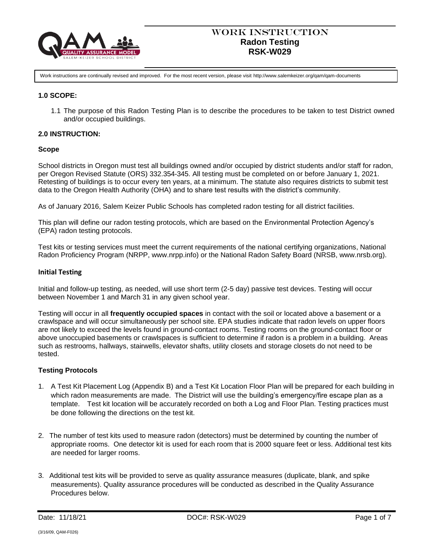

Work instructions are continually revised and improved. For the most recent version, please visit http://www.salemkeizer.org/qam/qam-documents

## **1.0 SCOPE:**

1.1 The purpose of this Radon Testing Plan is to describe the procedures to be taken to test District owned and/or occupied buildings.

## **2.0 INSTRUCTION:**

## **Scope**

School districts in Oregon must test all buildings owned and/or occupied by district students and/or staff for radon, per Oregon Revised Statute (ORS) 332.354-345. All testing must be completed on or before January 1, 2021. Retesting of buildings is to occur every ten years, at a minimum. The statute also requires districts to submit test data to the Oregon Health Authority (OHA) and to share test results with the district's community.

As of January 2016, Salem Keizer Public Schools has completed radon testing for all district facilities.

This plan will define our radon testing protocols, which are based on the Environmental Protection Agency's (EPA) radon testing protocols.

Test kits or testing services must meet the current requirements of the national certifying organizations, National Radon Proficiency Program (NRPP, www.nrpp.info) or the National Radon Safety Board (NRSB, www.nrsb.org).

#### **Initial Testing**

Initial and follow-up testing, as needed, will use short term (2-5 day) passive test devices. Testing will occur between November 1 and March 31 in any given school year.

Testing will occur in all **frequently occupied spaces** in contact with the soil or located above a basement or a crawlspace and will occur simultaneously per school site. EPA studies indicate that radon levels on upper floors are not likely to exceed the levels found in ground-contact rooms. Testing rooms on the ground-contact floor or above unoccupied basements or crawlspaces is sufficient to determine if radon is a problem in a building. Areas such as restrooms, hallways, stairwells, elevator shafts, utility closets and storage closets do not need to be tested.

## **Testing Protocols**

- 1. A Test Kit Placement Log (Appendix B) and a Test Kit Location Floor Plan will be prepared for each building in which radon measurements are made. The District will use the building's emergency/fire escape plan as a template. Test kit location will be accurately recorded on both a Log and Floor Plan. Testing practices must be done following the directions on the test kit.
- 2. The number of test kits used to measure radon (detectors) must be determined by counting the number of appropriate rooms. One detector kit is used for each room that is 2000 square feet or less. Additional test kits are needed for larger rooms.
- 3. Additional test kits will be provided to serve as quality assurance measures (duplicate, blank, and spike measurements). Quality assurance procedures will be conducted as described in the Quality Assurance Procedures below.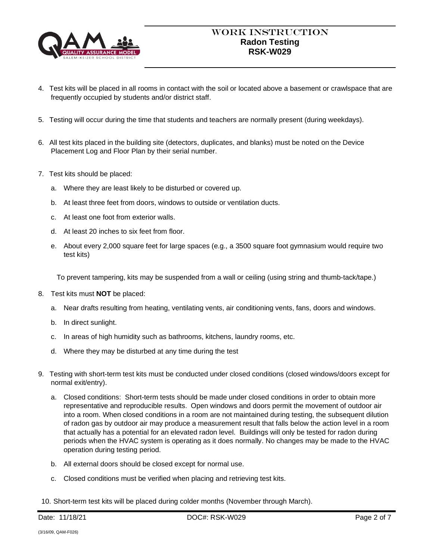

- 4. Test kits will be placed in all rooms in contact with the soil or located above a basement or crawlspace that are frequently occupied by students and/or district staff.
- 5. Testing will occur during the time that students and teachers are normally present (during weekdays).
- 6. All test kits placed in the building site (detectors, duplicates, and blanks) must be noted on the Device Placement Log and Floor Plan by their serial number.
- 7. Test kits should be placed:
	- a. Where they are least likely to be disturbed or covered up.
	- b. At least three feet from doors, windows to outside or ventilation ducts.
	- c. At least one foot from exterior walls.
	- d. At least 20 inches to six feet from floor.
	- e. About every 2,000 square feet for large spaces (e.g., a 3500 square foot gymnasium would require two test kits)

To prevent tampering, kits may be suspended from a wall or ceiling (using string and thumb-tack/tape.)

- 8. Test kits must **NOT** be placed:
	- a. Near drafts resulting from heating, ventilating vents, air conditioning vents, fans, doors and windows.
	- b. In direct sunlight.
	- c. In areas of high humidity such as bathrooms, kitchens, laundry rooms, etc.
	- d. Where they may be disturbed at any time during the test
- 9. Testing with short-term test kits must be conducted under closed conditions (closed windows/doors except for normal exit/entry).
	- a. Closed conditions: Short-term tests should be made under closed conditions in order to obtain more representative and reproducible results. Open windows and doors permit the movement of outdoor air into a room. When closed conditions in a room are not maintained during testing, the subsequent dilution of radon gas by outdoor air may produce a measurement result that falls below the action level in a room that actually has a potential for an elevated radon level. Buildings will only be tested for radon during periods when the HVAC system is operating as it does normally. No changes may be made to the HVAC operation during testing period.
	- b. All external doors should be closed except for normal use.
	- c. Closed conditions must be verified when placing and retrieving test kits.
- 10. Short-term test kits will be placed during colder months (November through March).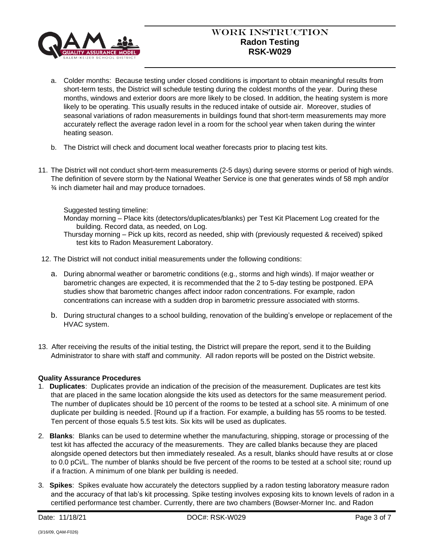

# Work Instruction **Radon Testing RSK-W029**

- a. Colder months: Because testing under closed conditions is important to obtain meaningful results from short-term tests, the District will schedule testing during the coldest months of the year. During these months, windows and exterior doors are more likely to be closed. In addition, the heating system is more likely to be operating. This usually results in the reduced intake of outside air. Moreover, studies of seasonal variations of radon measurements in buildings found that short-term measurements may more accurately reflect the average radon level in a room for the school year when taken during the winter heating season.
- b. The District will check and document local weather forecasts prior to placing test kits.
- 11. The District will not conduct short-term measurements (2-5 days) during severe storms or period of high winds. The definition of severe storm by the National Weather Service is one that generates winds of 58 mph and/or ¾ inch diameter hail and may produce tornadoes.

Suggested testing timeline:

Monday morning – Place kits (detectors/duplicates/blanks) per Test Kit Placement Log created for the building. Record data, as needed, on Log.

- Thursday morning Pick up kits, record as needed, ship with (previously requested & received) spiked test kits to Radon Measurement Laboratory.
- 12. The District will not conduct initial measurements under the following conditions:
	- a. During abnormal weather or barometric conditions (e.g., storms and high winds). If major weather or barometric changes are expected, it is recommended that the 2 to 5-day testing be postponed. EPA studies show that barometric changes affect indoor radon concentrations. For example, radon concentrations can increase with a sudden drop in barometric pressure associated with storms.
	- b. During structural changes to a school building, renovation of the building's envelope or replacement of the HVAC system.
- 13. After receiving the results of the initial testing, the District will prepare the report, send it to the Building Administrator to share with staff and community. All radon reports will be posted on the District website.

# **Quality Assurance Procedures**

- 1. **Duplicates**: Duplicates provide an indication of the precision of the measurement. Duplicates are test kits that are placed in the same location alongside the kits used as detectors for the same measurement period. The number of duplicates should be 10 percent of the rooms to be tested at a school site. A minimum of one duplicate per building is needed. [Round up if a fraction. For example, a building has 55 rooms to be tested. Ten percent of those equals 5.5 test kits. Six kits will be used as duplicates.
- 2. **Blanks**: Blanks can be used to determine whether the manufacturing, shipping, storage or processing of the test kit has affected the accuracy of the measurements. They are called blanks because they are placed alongside opened detectors but then immediately resealed. As a result, blanks should have results at or close to 0.0 pCi/L. The number of blanks should be five percent of the rooms to be tested at a school site; round up if a fraction. A minimum of one blank per building is needed.
- 3. **Spikes**: Spikes evaluate how accurately the detectors supplied by a radon testing laboratory measure radon and the accuracy of that lab's kit processing. Spike testing involves exposing kits to known levels of radon in a certified performance test chamber. Currently, there are two chambers (Bowser-Morner Inc. and Radon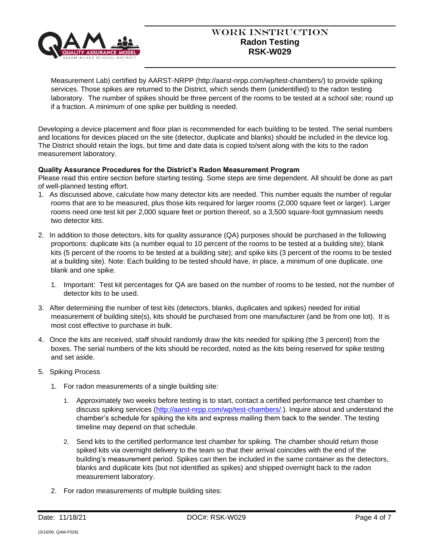

# Work Instruction **Radon Testing RSK-W029**

Measurement Lab) certified by AARST-NRPP (http://aarst-nrpp.com/wp/test-chambers/) to provide spiking services. Those spikes are returned to the District, which sends them (unidentified) to the radon testing laboratory. The number of spikes should be three percent of the rooms to be tested at a school site; round up if a fraction. A minimum of one spike per building is needed.

Developing a device placement and floor plan is recommended for each building to be tested. The serial numbers and locations for devices placed on the site (detector, duplicate and blanks) should be included in the device log. The District should retain the logs, but time and date data is copied to/sent along with the kits to the radon measurement laboratory.

## **Quality Assurance Procedures for the District's Radon Measurement Program**

Please read this entire section before starting testing. Some steps are time dependent. All should be done as part of well-planned testing effort.

- 1. As discussed above, calculate how many detector kits are needed. This number equals the number of regular rooms that are to be measured, plus those kits required for larger rooms (2,000 square feet or larger). Larger rooms need one test kit per 2,000 square feet or portion thereof, so a 3,500 square-foot gymnasium needs two detector kits.
- 2. In addition to those detectors, kits for quality assurance (QA) purposes should be purchased in the following proportions: duplicate kits (a number equal to 10 percent of the rooms to be tested at a building site); blank kits (5 percent of the rooms to be tested at a building site); and spike kits (3 percent of the rooms to be tested at a building site). Note: Each building to be tested should have, in place, a minimum of one duplicate, one blank and one spike.
	- 1. Important: Test kit percentages for QA are based on the number of rooms to be tested, not the number of detector kits to be used.
- 3. After determining the number of test kits (detectors, blanks, duplicates and spikes) needed for initial measurement of building site(s), kits should be purchased from one manufacturer (and be from one lot). It is most cost effective to purchase in bulk.
- 4. Once the kits are received, staff should randomly draw the kits needed for spiking (the 3 percent) from the boxes. The serial numbers of the kits should be recorded, noted as the kits being reserved for spike testing and set aside.
- 5. Spiking Process
	- 1. For radon measurements of a single building site:
		- 1. Approximately two weeks before testing is to start, contact a certified performance test chamber to discuss spiking services [\(http://aarst-nrpp.com/wp/test-chambers/.](http://aarst-nrpp.com/wp/test-chambers/)). Inquire about and understand the chamber's schedule for spiking the kits and express mailing them back to the sender. The testing timeline may depend on that schedule.
		- 2. Send kits to the certified performance test chamber for spiking. The chamber should return those spiked kits via overnight delivery to the team so that their arrival coincides with the end of the building's measurement period. Spikes can then be included in the same container as the detectors, blanks and duplicate kits (but not identified as spikes) and shipped overnight back to the radon measurement laboratory.
	- 2. For radon measurements of multiple building sites: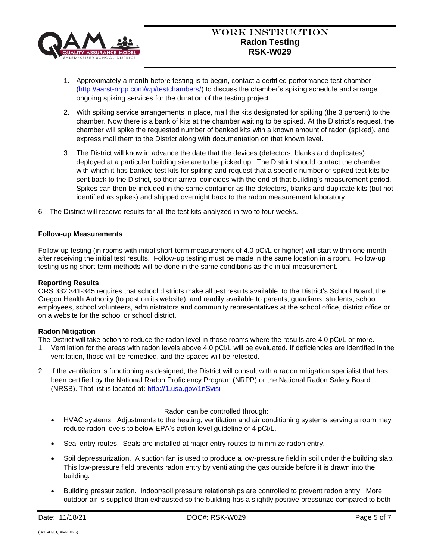

- 1. Approximately a month before testing is to begin, contact a certified performance test chamber [\(http://aarst-nrpp.com/wp/testchambers/\)](http://aarst-nrpp.com/wp/testchambers/) to discuss the chamber's spiking schedule and arrange ongoing spiking services for the duration of the testing project.
- 2. With spiking service arrangements in place, mail the kits designated for spiking (the 3 percent) to the chamber. Now there is a bank of kits at the chamber waiting to be spiked. At the District's request, the chamber will spike the requested number of banked kits with a known amount of radon (spiked), and express mail them to the District along with documentation on that known level.
- 3. The District will know in advance the date that the devices (detectors, blanks and duplicates) deployed at a particular building site are to be picked up. The District should contact the chamber with which it has banked test kits for spiking and request that a specific number of spiked test kits be sent back to the District, so their arrival coincides with the end of that building's measurement period. Spikes can then be included in the same container as the detectors, blanks and duplicate kits (but not identified as spikes) and shipped overnight back to the radon measurement laboratory.
- 6. The District will receive results for all the test kits analyzed in two to four weeks.

### **Follow-up Measurements**

Follow-up testing (in rooms with initial short-term measurement of 4.0 pCi/L or higher) will start within one month after receiving the initial test results. Follow-up testing must be made in the same location in a room. Follow-up testing using short-term methods will be done in the same conditions as the initial measurement.

#### **Reporting Results**

ORS 332.341-345 requires that school districts make all test results available: to the District's School Board; the Oregon Health Authority (to post on its website), and readily available to parents, guardians, students, school employees, school volunteers, administrators and community representatives at the school office, district office or on a website for the school or school district.

## **Radon Mitigation**

The District will take action to reduce the radon level in those rooms where the results are 4.0 pCi/L or more.

- 1. Ventilation for the areas with radon levels above 4.0 pCi/L will be evaluated. If deficiencies are identified in the ventilation, those will be remedied, and the spaces will be retested.
- 2. If the ventilation is functioning as designed, the District will consult with a radon mitigation specialist that has been certified by the National Radon Proficiency Program (NRPP) or the National Radon Safety Board (NRSB). That list is located at:<http://1.usa.gov/1nSvisi>

#### Radon can be controlled through:

- HVAC systems. Adjustments to the heating, ventilation and air conditioning systems serving a room may reduce radon levels to below EPA's action level guideline of 4 pCi/L.
- Seal entry routes. Seals are installed at major entry routes to minimize radon entry.
- Soil depressurization. A suction fan is used to produce a low-pressure field in soil under the building slab. This low-pressure field prevents radon entry by ventilating the gas outside before it is drawn into the building.
- Building pressurization. Indoor/soil pressure relationships are controlled to prevent radon entry. More outdoor air is supplied than exhausted so the building has a slightly positive pressurize compared to both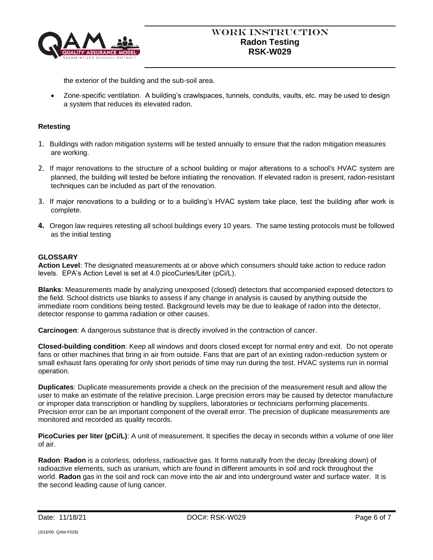

the exterior of the building and the sub-soil area.

• Zone-specific ventilation. A building's crawlspaces, tunnels, conduits, vaults, etc. may be used to design a system that reduces its elevated radon.

## **Retesting**

- 1. Buildings with radon mitigation systems will be tested annually to ensure that the radon mitigation measures are working.
- 2. If major renovations to the structure of a school building or major alterations to a school's HVAC system are planned, the building will tested be before initiating the renovation. If elevated radon is present, radon-resistant techniques can be included as part of the renovation.
- 3. If major renovations to a building or to a building's HVAC system take place, test the building after work is complete.
- **4.** Oregon law requires retesting all school buildings every 10 years. The same testing protocols must be followed as the initial testing

# **GLOSSARY**

**Action Level**: The designated measurements at or above which consumers should take action to reduce radon levels. EPA's Action Level is set at 4.0 picoCuries/Liter (pCi/L).

**Blanks**: Measurements made by analyzing unexposed (closed) detectors that accompanied exposed detectors to the field. School districts use blanks to assess if any change in analysis is caused by anything outside the immediate room conditions being tested. Background levels may be due to leakage of radon into the detector, detector response to gamma radiation or other causes.

**Carcinogen**: A dangerous substance that is directly involved in the contraction of cancer.

**Closed-building condition**: Keep all windows and doors closed except for normal entry and exit. Do not operate fans or other machines that bring in air from outside. Fans that are part of an existing radon-reduction system or small exhaust fans operating for only short periods of time may run during the test. HVAC systems run in normal operation.

**Duplicates**: Duplicate measurements provide a check on the precision of the measurement result and allow the user to make an estimate of the relative precision. Large precision errors may be caused by detector manufacture or improper data transcription or handling by suppliers, laboratories or technicians performing placements. Precision error can be an important component of the overall error. The precision of duplicate measurements are monitored and recorded as quality records.

**PicoCuries per liter (pCi/L)**: A unit of measurement. It specifies the decay in seconds within a volume of one liter of air.

**Radon**: **Radon** is a colorless, odorless, radioactive gas. It forms naturally from the decay (breaking down) of radioactive elements, such as uranium, which are found in different amounts in soil and rock throughout the world. **Radon** gas in the soil and rock can move into the air and into underground water and surface water. It is the second leading cause of lung cancer.